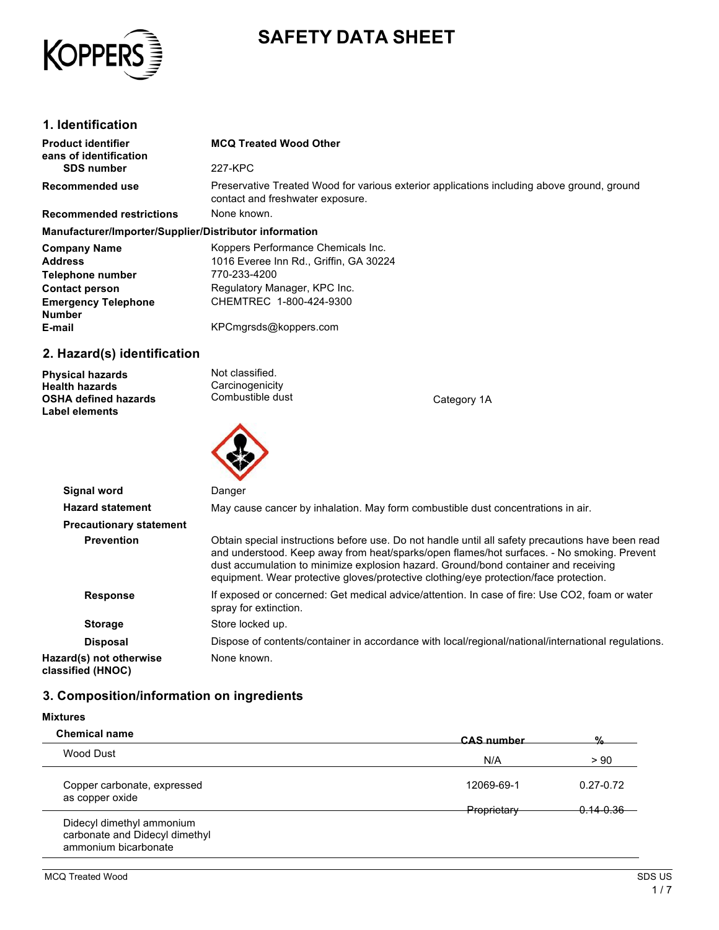

# **SAFETY DATA SHEET**

### **1. Identification**

| <b>Product identifier</b><br>eans of identification                                                      | <b>MCQ Treated Wood Other</b>                                                                                                  |             |
|----------------------------------------------------------------------------------------------------------|--------------------------------------------------------------------------------------------------------------------------------|-------------|
| <b>SDS number</b>                                                                                        | 227-KPC                                                                                                                        |             |
| Recommended use                                                                                          | Preservative Treated Wood for various exterior applications including above ground, ground<br>contact and freshwater exposure. |             |
| <b>Recommended restrictions</b>                                                                          | None known.                                                                                                                    |             |
| Manufacturer/Importer/Supplier/Distributor information                                                   |                                                                                                                                |             |
| <b>Company Name</b>                                                                                      | Koppers Performance Chemicals Inc.                                                                                             |             |
| <b>Address</b>                                                                                           | 1016 Everee Inn Rd., Griffin, GA 30224                                                                                         |             |
| Telephone number                                                                                         | 770-233-4200                                                                                                                   |             |
| <b>Contact person</b>                                                                                    | Regulatory Manager, KPC Inc.                                                                                                   |             |
| <b>Emergency Telephone</b><br><b>Number</b>                                                              | CHEMTREC 1-800-424-9300                                                                                                        |             |
| E-mail                                                                                                   | KPCmgrsds@koppers.com                                                                                                          |             |
| 2. Hazard(s) identification                                                                              |                                                                                                                                |             |
| <b>Physical hazards</b><br><b>Health hazards</b><br><b>OSHA defined hazards</b><br><b>Label elements</b> | Not classified.<br>Carcinogenicity<br>Combustible dust                                                                         | Category 1A |



|                                              | $\sim$                                                                                                                                                                                                                                                                                                                                                                          |
|----------------------------------------------|---------------------------------------------------------------------------------------------------------------------------------------------------------------------------------------------------------------------------------------------------------------------------------------------------------------------------------------------------------------------------------|
| Signal word                                  | Danger                                                                                                                                                                                                                                                                                                                                                                          |
| <b>Hazard statement</b>                      | May cause cancer by inhalation. May form combustible dust concentrations in air.                                                                                                                                                                                                                                                                                                |
| <b>Precautionary statement</b>               |                                                                                                                                                                                                                                                                                                                                                                                 |
| <b>Prevention</b>                            | Obtain special instructions before use. Do not handle until all safety precautions have been read<br>and understood. Keep away from heat/sparks/open flames/hot surfaces. - No smoking. Prevent<br>dust accumulation to minimize explosion hazard. Ground/bond container and receiving<br>equipment. Wear protective gloves/protective clothing/eye protection/face protection. |
| <b>Response</b>                              | If exposed or concerned: Get medical advice/attention. In case of fire: Use CO2, foam or water<br>spray for extinction.                                                                                                                                                                                                                                                         |
| <b>Storage</b>                               | Store locked up.                                                                                                                                                                                                                                                                                                                                                                |
| <b>Disposal</b>                              | Dispose of contents/container in accordance with local/regional/national/international regulations.                                                                                                                                                                                                                                                                             |
| Hazard(s) not otherwise<br>classified (HNOC) | None known.                                                                                                                                                                                                                                                                                                                                                                     |

# **3. Composition/information on ingredients**

### **Mixtures**

| <b>Chemical name</b>                           | CAS number  | $\frac{0}{2}$ |
|------------------------------------------------|-------------|---------------|
| Wood Dust                                      | N/A         | > 90          |
| Copper carbonate, expressed<br>as copper oxide | 12069-69-1  | $0.27 - 0.72$ |
|                                                | Proprietary | $0.14 - 0.36$ |
| Didecyl dimethyl ammonium                      |             |               |
| carbonate and Didecyl dimethyl                 |             |               |
| ammonium bicarbonate                           |             |               |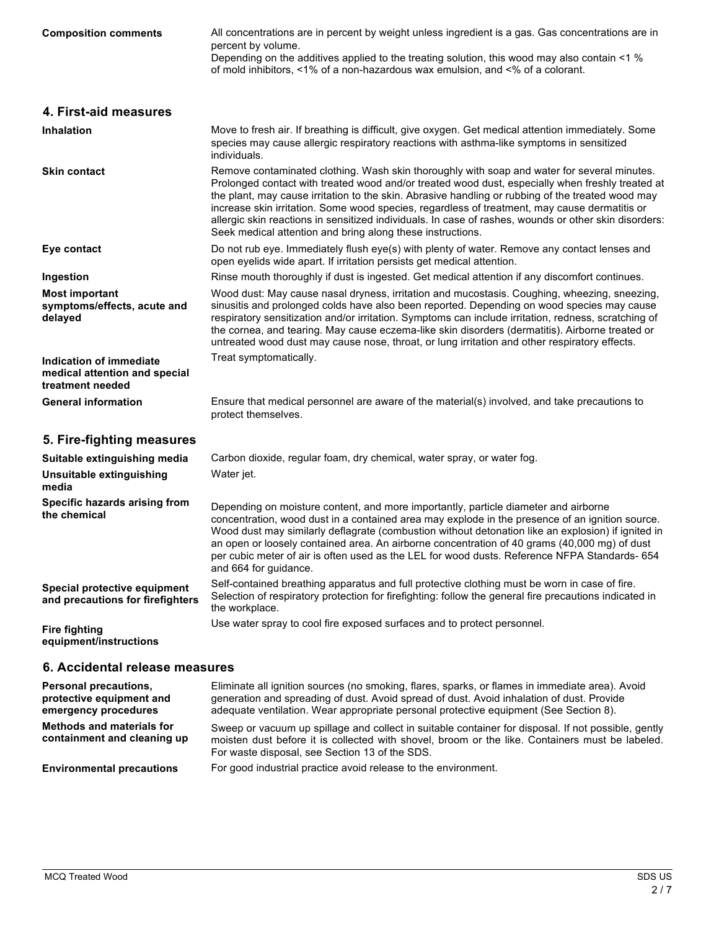| <b>Composition comments</b>                                                  | All concentrations are in percent by weight unless ingredient is a gas. Gas concentrations are in<br>percent by volume.<br>Depending on the additives applied to the treating solution, this wood may also contain <1 %<br>of mold inhibitors, <1% of a non-hazardous wax emulsion, and <% of a colorant.                                                                                                                                                                                                                                                                    |
|------------------------------------------------------------------------------|------------------------------------------------------------------------------------------------------------------------------------------------------------------------------------------------------------------------------------------------------------------------------------------------------------------------------------------------------------------------------------------------------------------------------------------------------------------------------------------------------------------------------------------------------------------------------|
| 4. First-aid measures                                                        |                                                                                                                                                                                                                                                                                                                                                                                                                                                                                                                                                                              |
| <b>Inhalation</b>                                                            | Move to fresh air. If breathing is difficult, give oxygen. Get medical attention immediately. Some<br>species may cause allergic respiratory reactions with asthma-like symptoms in sensitized<br>individuals.                                                                                                                                                                                                                                                                                                                                                               |
| <b>Skin contact</b>                                                          | Remove contaminated clothing. Wash skin thoroughly with soap and water for several minutes.<br>Prolonged contact with treated wood and/or treated wood dust, especially when freshly treated at<br>the plant, may cause irritation to the skin. Abrasive handling or rubbing of the treated wood may<br>increase skin irritation. Some wood species, regardless of treatment, may cause dermatitis or<br>allergic skin reactions in sensitized individuals. In case of rashes, wounds or other skin disorders:<br>Seek medical attention and bring along these instructions. |
| Eye contact                                                                  | Do not rub eye. Immediately flush eye(s) with plenty of water. Remove any contact lenses and<br>open eyelids wide apart. If irritation persists get medical attention.                                                                                                                                                                                                                                                                                                                                                                                                       |
| Ingestion                                                                    | Rinse mouth thoroughly if dust is ingested. Get medical attention if any discomfort continues.                                                                                                                                                                                                                                                                                                                                                                                                                                                                               |
| <b>Most important</b><br>symptoms/effects, acute and<br>delayed              | Wood dust: May cause nasal dryness, irritation and mucostasis. Coughing, wheezing, sneezing,<br>sinusitis and prolonged colds have also been reported. Depending on wood species may cause<br>respiratory sensitization and/or irritation. Symptoms can include irritation, redness, scratching of<br>the cornea, and tearing. May cause eczema-like skin disorders (dermatitis). Airborne treated or<br>untreated wood dust may cause nose, throat, or lung irritation and other respiratory effects.                                                                       |
| Indication of immediate<br>medical attention and special<br>treatment needed | Treat symptomatically.                                                                                                                                                                                                                                                                                                                                                                                                                                                                                                                                                       |
| <b>General information</b>                                                   | Ensure that medical personnel are aware of the material(s) involved, and take precautions to<br>protect themselves.                                                                                                                                                                                                                                                                                                                                                                                                                                                          |
| 5. Fire-fighting measures                                                    |                                                                                                                                                                                                                                                                                                                                                                                                                                                                                                                                                                              |
| Suitable extinguishing media                                                 | Carbon dioxide, regular foam, dry chemical, water spray, or water fog.                                                                                                                                                                                                                                                                                                                                                                                                                                                                                                       |
| Unsuitable extinguishing<br>media                                            | Water jet.                                                                                                                                                                                                                                                                                                                                                                                                                                                                                                                                                                   |
| Specific hazards arising from<br>the chemical                                | Depending on moisture content, and more importantly, particle diameter and airborne<br>concentration, wood dust in a contained area may explode in the presence of an ignition source.<br>Wood dust may similarly deflagrate (combustion without detonation like an explosion) if ignited in<br>an open or loosely contained area. An airborne concentration of 40 grams (40,000 mg) of dust<br>per cubic meter of air is often used as the LEL for wood dusts. Reference NFPA Standards- 654<br>and 664 for guidance.                                                       |
| Special protective equipment<br>and precautions for firefighters             | Self-contained breathing apparatus and full protective clothing must be worn in case of fire.<br>Selection of respiratory protection for firefighting: follow the general fire precautions indicated in<br>the workplace.                                                                                                                                                                                                                                                                                                                                                    |
| <b>Fire fighting</b><br>equipment/instructions                               | Use water spray to cool fire exposed surfaces and to protect personnel.                                                                                                                                                                                                                                                                                                                                                                                                                                                                                                      |
| 6. Accidental release measures                                               |                                                                                                                                                                                                                                                                                                                                                                                                                                                                                                                                                                              |
| Personal precautions,<br>protective equipment and<br>emergency procedures    | Eliminate all ignition sources (no smoking, flares, sparks, or flames in immediate area). Avoid<br>generation and spreading of dust. Avoid spread of dust. Avoid inhalation of dust. Provide<br>adequate ventilation. Wear appropriate personal protective equipment (See Section 8).                                                                                                                                                                                                                                                                                        |
| <b>Methods and materials for</b><br>containment and cleaning up              | Sweep or vacuum up spillage and collect in suitable container for disposal. If not possible, gently<br>moisten dust before it is collected with shovel, broom or the like. Containers must be labeled.<br>For waste disposal, see Section 13 of the SDS.                                                                                                                                                                                                                                                                                                                     |

**Environmental precautions** For good industrial practice avoid release to the environment.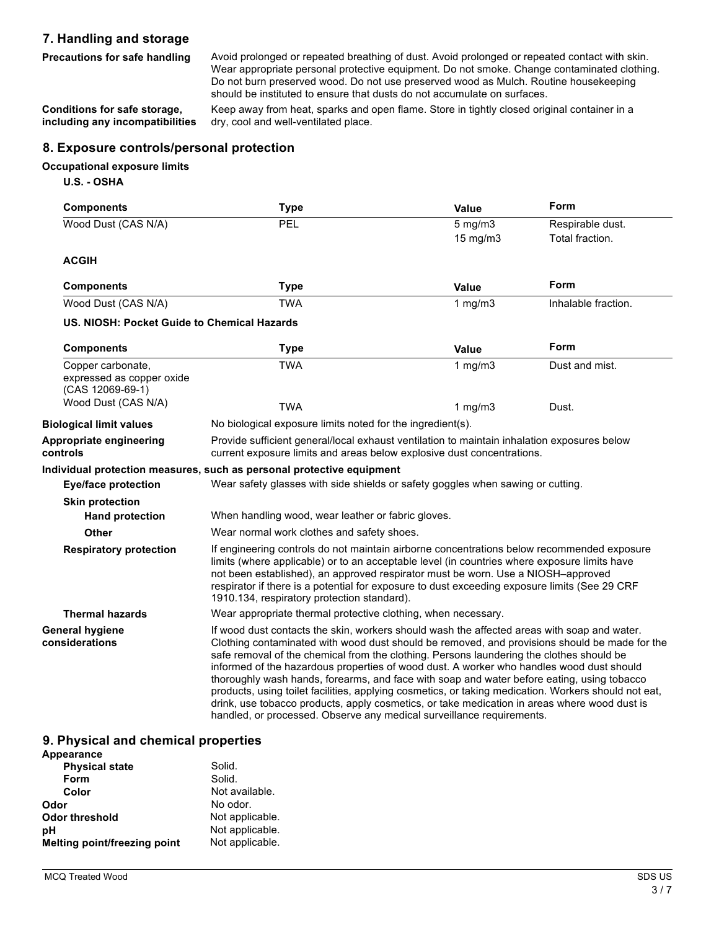## **7. Handling and storage**

Precautions for safe handling Avoid prolonged or repeated breathing of dust. Avoid prolonged or repeated contact with skin. Wear appropriate personal protective equipment. Do not smoke. Change contaminated clothing. Do not burn preserved wood. Do not use preserved wood as Mulch. Routine housekeeping should be instituted to ensure that dusts do not accumulate on surfaces.

**Conditions for safe storage, including any incompatibilities**

Keep away from heat, sparks and open flame. Store in tightly closed original container in a dry, cool and well-ventilated place.

### **8. Exposure controls/personal protection**

#### **Occupational exposure limits**

### **U.S. - OSHA**

| <b>Components</b>                                                  | <b>Type</b>                                                                                                                                                                                                                                                                                                                                                                                                                                                                                                                                                                                                                                                                                                                                                         | Value                    | Form                                |
|--------------------------------------------------------------------|---------------------------------------------------------------------------------------------------------------------------------------------------------------------------------------------------------------------------------------------------------------------------------------------------------------------------------------------------------------------------------------------------------------------------------------------------------------------------------------------------------------------------------------------------------------------------------------------------------------------------------------------------------------------------------------------------------------------------------------------------------------------|--------------------------|-------------------------------------|
| Wood Dust (CAS N/A)                                                | PEL                                                                                                                                                                                                                                                                                                                                                                                                                                                                                                                                                                                                                                                                                                                                                                 | $5$ mg/m $3$<br>15 mg/m3 | Respirable dust.<br>Total fraction. |
| <b>ACGIH</b>                                                       |                                                                                                                                                                                                                                                                                                                                                                                                                                                                                                                                                                                                                                                                                                                                                                     |                          |                                     |
| <b>Components</b>                                                  | <b>Type</b>                                                                                                                                                                                                                                                                                                                                                                                                                                                                                                                                                                                                                                                                                                                                                         | <b>Value</b>             | Form                                |
| Wood Dust (CAS N/A)                                                | <b>TWA</b>                                                                                                                                                                                                                                                                                                                                                                                                                                                                                                                                                                                                                                                                                                                                                          | 1 $mg/m3$                | Inhalable fraction.                 |
| US. NIOSH: Pocket Guide to Chemical Hazards                        |                                                                                                                                                                                                                                                                                                                                                                                                                                                                                                                                                                                                                                                                                                                                                                     |                          |                                     |
| <b>Components</b>                                                  | <b>Type</b>                                                                                                                                                                                                                                                                                                                                                                                                                                                                                                                                                                                                                                                                                                                                                         | Value                    | Form                                |
| Copper carbonate,<br>expressed as copper oxide<br>(CAS 12069-69-1) | <b>TWA</b>                                                                                                                                                                                                                                                                                                                                                                                                                                                                                                                                                                                                                                                                                                                                                          | 1 mg/m3                  | Dust and mist.                      |
| Wood Dust (CAS N/A)                                                | <b>TWA</b>                                                                                                                                                                                                                                                                                                                                                                                                                                                                                                                                                                                                                                                                                                                                                          | 1 $mg/m3$                | Dust.                               |
| <b>Biological limit values</b>                                     | No biological exposure limits noted for the ingredient(s).                                                                                                                                                                                                                                                                                                                                                                                                                                                                                                                                                                                                                                                                                                          |                          |                                     |
| Appropriate engineering<br>controls                                | Provide sufficient general/local exhaust ventilation to maintain inhalation exposures below<br>current exposure limits and areas below explosive dust concentrations.                                                                                                                                                                                                                                                                                                                                                                                                                                                                                                                                                                                               |                          |                                     |
|                                                                    | Individual protection measures, such as personal protective equipment                                                                                                                                                                                                                                                                                                                                                                                                                                                                                                                                                                                                                                                                                               |                          |                                     |
| <b>Eye/face protection</b>                                         | Wear safety glasses with side shields or safety goggles when sawing or cutting.                                                                                                                                                                                                                                                                                                                                                                                                                                                                                                                                                                                                                                                                                     |                          |                                     |
| <b>Skin protection</b>                                             |                                                                                                                                                                                                                                                                                                                                                                                                                                                                                                                                                                                                                                                                                                                                                                     |                          |                                     |
| <b>Hand protection</b>                                             | When handling wood, wear leather or fabric gloves.                                                                                                                                                                                                                                                                                                                                                                                                                                                                                                                                                                                                                                                                                                                  |                          |                                     |
| <b>Other</b>                                                       | Wear normal work clothes and safety shoes.                                                                                                                                                                                                                                                                                                                                                                                                                                                                                                                                                                                                                                                                                                                          |                          |                                     |
| <b>Respiratory protection</b>                                      | If engineering controls do not maintain airborne concentrations below recommended exposure<br>limits (where applicable) or to an acceptable level (in countries where exposure limits have<br>not been established), an approved respirator must be worn. Use a NIOSH-approved<br>respirator if there is a potential for exposure to dust exceeding exposure limits (See 29 CRF<br>1910.134, respiratory protection standard).                                                                                                                                                                                                                                                                                                                                      |                          |                                     |
| <b>Thermal hazards</b>                                             | Wear appropriate thermal protective clothing, when necessary.                                                                                                                                                                                                                                                                                                                                                                                                                                                                                                                                                                                                                                                                                                       |                          |                                     |
| <b>General hygiene</b><br>considerations                           | If wood dust contacts the skin, workers should wash the affected areas with soap and water.<br>Clothing contaminated with wood dust should be removed, and provisions should be made for the<br>safe removal of the chemical from the clothing. Persons laundering the clothes should be<br>informed of the hazardous properties of wood dust. A worker who handles wood dust should<br>thoroughly wash hands, forearms, and face with soap and water before eating, using tobacco<br>products, using toilet facilities, applying cosmetics, or taking medication. Workers should not eat,<br>drink, use tobacco products, apply cosmetics, or take medication in areas where wood dust is<br>handled, or processed. Observe any medical surveillance requirements. |                          |                                     |

### **9. Physical and chemical properties**

| Appearance                   |                 |
|------------------------------|-----------------|
| <b>Physical state</b>        | Solid.          |
| Form                         | Solid.          |
| Color                        | Not available.  |
| Odor                         | No odor.        |
| Odor threshold               | Not applicable. |
| рH                           | Not applicable. |
| Melting point/freezing point | Not applicable. |
|                              |                 |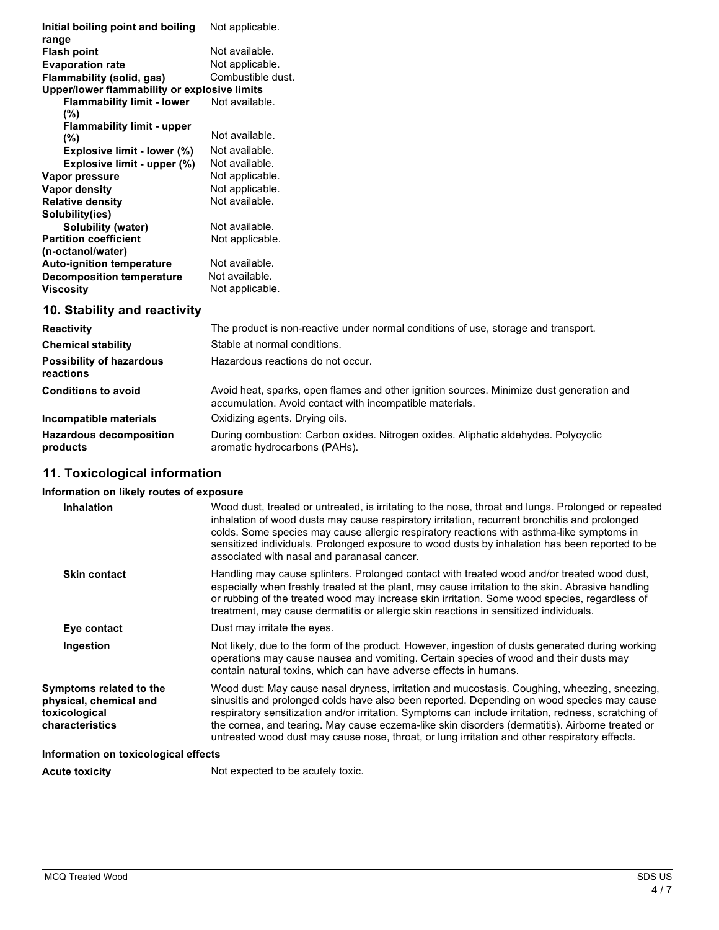| Initial boiling point and boiling<br>range   | Not applicable.                                                                    |
|----------------------------------------------|------------------------------------------------------------------------------------|
| <b>Flash point</b>                           | Not available.                                                                     |
|                                              | Not applicable.                                                                    |
| <b>Evaporation rate</b>                      | Combustible dust.                                                                  |
| Flammability (solid, gas)                    |                                                                                    |
| Upper/lower flammability or explosive limits |                                                                                    |
| <b>Flammability limit - lower</b>            | Not available.                                                                     |
| $(\%)$                                       |                                                                                    |
| <b>Flammability limit - upper</b>            |                                                                                    |
| $(\% )$                                      | Not available.                                                                     |
| Explosive limit - lower (%)                  | Not available.                                                                     |
| Explosive limit - upper (%)                  | Not available.                                                                     |
| Vapor pressure                               | Not applicable.                                                                    |
| Vapor density                                | Not applicable.                                                                    |
| <b>Relative density</b>                      | Not available.                                                                     |
| Solubility(ies)                              |                                                                                    |
| Solubility (water)                           | Not available.                                                                     |
| <b>Partition coefficient</b>                 | Not applicable.                                                                    |
| (n-octanol/water)                            |                                                                                    |
| <b>Auto-ignition temperature</b>             | Not available.                                                                     |
| <b>Decomposition temperature</b>             | Not available.                                                                     |
| <b>Viscosity</b>                             | Not applicable.                                                                    |
|                                              |                                                                                    |
| 10. Stability and reactivity                 |                                                                                    |
| <b>Reactivity</b>                            | The product is non-reactive under normal conditions of use, storage and transport. |
| <b>Chemical stability</b>                    | Stable at normal conditions.                                                       |
| Doccibility of hazardous                     | Hazardous reactions do not occur                                                   |

| <b>POSSIBILITY OF HAZARDOUS</b><br>reactions | Hazardous reactions do not occur.                                                                                                                    |
|----------------------------------------------|------------------------------------------------------------------------------------------------------------------------------------------------------|
| <b>Conditions to avoid</b>                   | Avoid heat, sparks, open flames and other ignition sources. Minimize dust generation and<br>accumulation. Avoid contact with incompatible materials. |
| Incompatible materials                       | Oxidizing agents. Drying oils.                                                                                                                       |
| <b>Hazardous decomposition</b><br>products   | During combustion: Carbon oxides. Nitrogen oxides. Aliphatic aldehydes. Polycyclic<br>aromatic hydrocarbons (PAHs).                                  |

# **11. Toxicological information**

# **Information on likely routes of exposure**

| <b>Inhalation</b>                                                                     | Wood dust, treated or untreated, is irritating to the nose, throat and lungs. Prolonged or repeated<br>inhalation of wood dusts may cause respiratory irritation, recurrent bronchitis and prolonged<br>colds. Some species may cause allergic respiratory reactions with asthma-like symptoms in<br>sensitized individuals. Prolonged exposure to wood dusts by inhalation has been reported to be<br>associated with nasal and paranasal cancer.                                                     |  |
|---------------------------------------------------------------------------------------|--------------------------------------------------------------------------------------------------------------------------------------------------------------------------------------------------------------------------------------------------------------------------------------------------------------------------------------------------------------------------------------------------------------------------------------------------------------------------------------------------------|--|
| <b>Skin contact</b>                                                                   | Handling may cause splinters. Prolonged contact with treated wood and/or treated wood dust,<br>especially when freshly treated at the plant, may cause irritation to the skin. Abrasive handling<br>or rubbing of the treated wood may increase skin irritation. Some wood species, regardless of<br>treatment, may cause dermatitis or allergic skin reactions in sensitized individuals.                                                                                                             |  |
| Eye contact                                                                           | Dust may irritate the eyes.                                                                                                                                                                                                                                                                                                                                                                                                                                                                            |  |
| Ingestion                                                                             | Not likely, due to the form of the product. However, ingestion of dusts generated during working<br>operations may cause nausea and vomiting. Certain species of wood and their dusts may<br>contain natural toxins, which can have adverse effects in humans.                                                                                                                                                                                                                                         |  |
| Symptoms related to the<br>physical, chemical and<br>toxicological<br>characteristics | Wood dust: May cause nasal dryness, irritation and mucostasis. Coughing, wheezing, sneezing,<br>sinusitis and prolonged colds have also been reported. Depending on wood species may cause<br>respiratory sensitization and/or irritation. Symptoms can include irritation, redness, scratching of<br>the cornea, and tearing. May cause eczema-like skin disorders (dermatitis). Airborne treated or<br>untreated wood dust may cause nose, throat, or lung irritation and other respiratory effects. |  |
| Information on toxicological effects                                                  |                                                                                                                                                                                                                                                                                                                                                                                                                                                                                                        |  |
| <b>Acute toxicity</b>                                                                 | Not expected to be acutely toxic.                                                                                                                                                                                                                                                                                                                                                                                                                                                                      |  |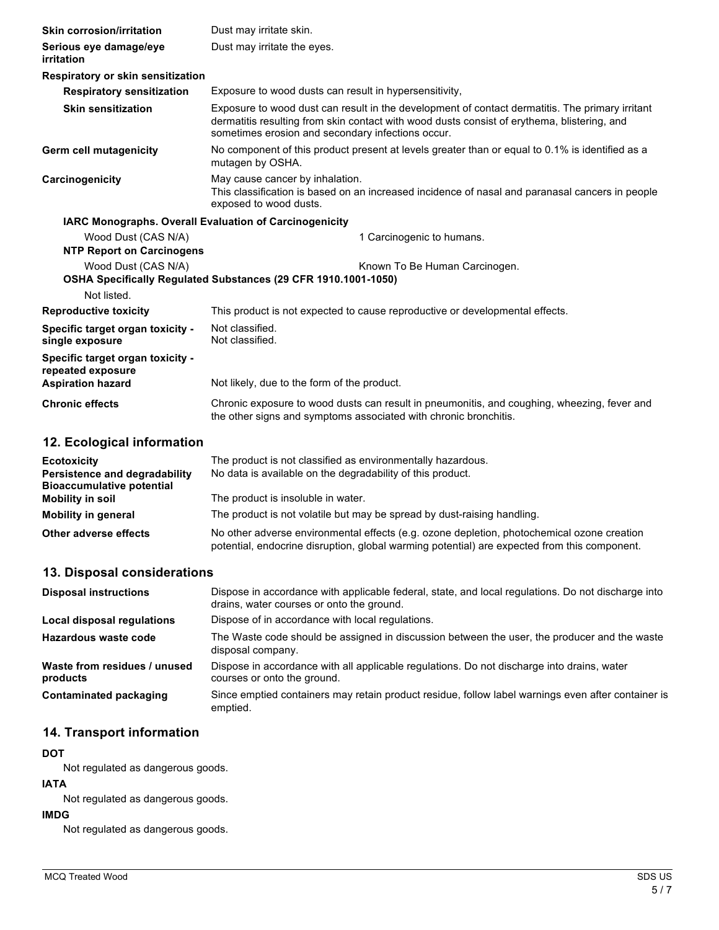| <b>Skin corrosion/irritation</b>                                                                                       | Dust may irritate skin.                                                                                                                                                                                                                             |
|------------------------------------------------------------------------------------------------------------------------|-----------------------------------------------------------------------------------------------------------------------------------------------------------------------------------------------------------------------------------------------------|
| Serious eye damage/eye<br>irritation                                                                                   | Dust may irritate the eyes.                                                                                                                                                                                                                         |
| Respiratory or skin sensitization                                                                                      |                                                                                                                                                                                                                                                     |
| <b>Respiratory sensitization</b>                                                                                       | Exposure to wood dusts can result in hypersensitivity,                                                                                                                                                                                              |
| <b>Skin sensitization</b>                                                                                              | Exposure to wood dust can result in the development of contact dermatitis. The primary irritant<br>dermatitis resulting from skin contact with wood dusts consist of erythema, blistering, and<br>sometimes erosion and secondary infections occur. |
| <b>Germ cell mutagenicity</b>                                                                                          | No component of this product present at levels greater than or equal to 0.1% is identified as a<br>mutagen by OSHA.                                                                                                                                 |
| Carcinogenicity                                                                                                        | May cause cancer by inhalation.<br>This classification is based on an increased incidence of nasal and paranasal cancers in people<br>exposed to wood dusts.                                                                                        |
| IARC Monographs. Overall Evaluation of Carcinogenicity                                                                 |                                                                                                                                                                                                                                                     |
| Wood Dust (CAS N/A)<br><b>NTP Report on Carcinogens</b>                                                                | 1 Carcinogenic to humans.                                                                                                                                                                                                                           |
| Wood Dust (CAS N/A)<br>Known To Be Human Carcinogen.<br>OSHA Specifically Regulated Substances (29 CFR 1910.1001-1050) |                                                                                                                                                                                                                                                     |
| Not listed.                                                                                                            |                                                                                                                                                                                                                                                     |
| <b>Reproductive toxicity</b>                                                                                           | This product is not expected to cause reproductive or developmental effects.                                                                                                                                                                        |
| Specific target organ toxicity -<br>single exposure                                                                    | Not classified.<br>Not classified.                                                                                                                                                                                                                  |
| Specific target organ toxicity -<br>repeated exposure<br><b>Aspiration hazard</b>                                      | Not likely, due to the form of the product.                                                                                                                                                                                                         |
| <b>Chronic effects</b>                                                                                                 | Chronic exposure to wood dusts can result in pneumonitis, and coughing, wheezing, fever and<br>the other signs and symptoms associated with chronic bronchitis.                                                                                     |
| 12. Ecological information                                                                                             |                                                                                                                                                                                                                                                     |
| <b>Ecotoxicity</b><br>Persistence and degradability<br><b>Bioaccumulative potential</b>                                | The product is not classified as environmentally hazardous.<br>No data is available on the degradability of this product.                                                                                                                           |
| <b>Mobility in soil</b>                                                                                                | The product is insoluble in water.                                                                                                                                                                                                                  |

| <b>MODILLY IT SOIL</b> | THE DIVIDUCTIS INSUIDULE IN WATEL.                                                           |
|------------------------|----------------------------------------------------------------------------------------------|
| Mobility in general    | The product is not volatile but may be spread by dust-raising handling.                      |
| Other adverse effects  | No other adverse environmental effects (e.g. ozone depletion, photochemical ozone creation   |
|                        | potential, endocrine disruption, global warming potential) are expected from this component. |

# **13. Disposal considerations**

| <b>Disposal instructions</b>             | Dispose in accordance with applicable federal, state, and local regulations. Do not discharge into<br>drains, water courses or onto the ground. |
|------------------------------------------|-------------------------------------------------------------------------------------------------------------------------------------------------|
| Local disposal regulations               | Dispose of in accordance with local regulations.                                                                                                |
| Hazardous waste code                     | The Waste code should be assigned in discussion between the user, the producer and the waste<br>disposal company.                               |
| Waste from residues / unused<br>products | Dispose in accordance with all applicable regulations. Do not discharge into drains, water<br>courses or onto the ground.                       |
| <b>Contaminated packaging</b>            | Since emptied containers may retain product residue, follow label warnings even after container is<br>emptied.                                  |

# **14. Transport information**

### **DOT**

Not regulated as dangerous goods.

#### **IATA**

Not regulated as dangerous goods.

### **IMDG**

Not regulated as dangerous goods.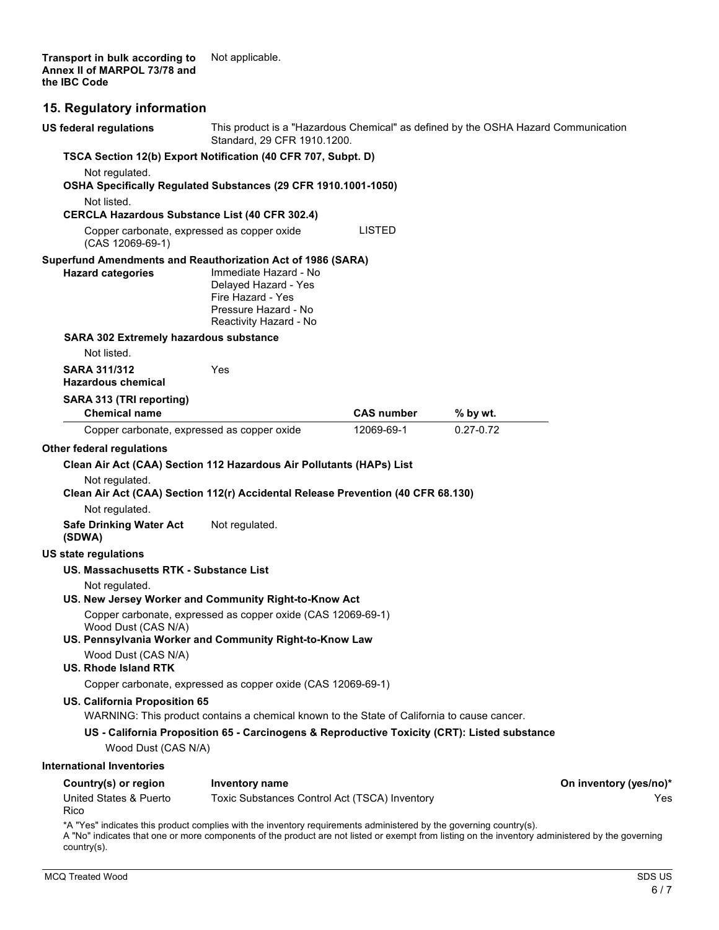**Transport in bulk according to Annex II of MARPOL 73/78 and the IBC Code** Not applicable.

### **15. Regulatory information**

| US federal regulations                                                                                             | This product is a "Hazardous Chemical" as defined by the OSHA Hazard Communication<br>Standard, 29 CFR 1910.1200.    |                   |               |                        |
|--------------------------------------------------------------------------------------------------------------------|----------------------------------------------------------------------------------------------------------------------|-------------------|---------------|------------------------|
| TSCA Section 12(b) Export Notification (40 CFR 707, Subpt. D)                                                      |                                                                                                                      |                   |               |                        |
| Not regulated.<br>OSHA Specifically Regulated Substances (29 CFR 1910.1001-1050)                                   |                                                                                                                      |                   |               |                        |
| Not listed.                                                                                                        |                                                                                                                      |                   |               |                        |
| <b>CERCLA Hazardous Substance List (40 CFR 302.4)</b>                                                              |                                                                                                                      |                   |               |                        |
| Copper carbonate, expressed as copper oxide<br>(CAS 12069-69-1)                                                    |                                                                                                                      | <b>LISTED</b>     |               |                        |
| Superfund Amendments and Reauthorization Act of 1986 (SARA)<br><b>Hazard categories</b>                            | Immediate Hazard - No<br>Delayed Hazard - Yes<br>Fire Hazard - Yes<br>Pressure Hazard - No<br>Reactivity Hazard - No |                   |               |                        |
| SARA 302 Extremely hazardous substance                                                                             |                                                                                                                      |                   |               |                        |
| Not listed.                                                                                                        |                                                                                                                      |                   |               |                        |
| <b>SARA 311/312</b><br><b>Hazardous chemical</b>                                                                   | <b>Yes</b>                                                                                                           |                   |               |                        |
| SARA 313 (TRI reporting)                                                                                           |                                                                                                                      |                   |               |                        |
| <b>Chemical name</b>                                                                                               |                                                                                                                      | <b>CAS number</b> | % by wt.      |                        |
| Copper carbonate, expressed as copper oxide                                                                        |                                                                                                                      | 12069-69-1        | $0.27 - 0.72$ |                        |
| Other federal regulations                                                                                          |                                                                                                                      |                   |               |                        |
| Clean Air Act (CAA) Section 112 Hazardous Air Pollutants (HAPs) List                                               |                                                                                                                      |                   |               |                        |
| Not regulated.                                                                                                     |                                                                                                                      |                   |               |                        |
| Clean Air Act (CAA) Section 112(r) Accidental Release Prevention (40 CFR 68.130)                                   |                                                                                                                      |                   |               |                        |
| Not regulated.                                                                                                     |                                                                                                                      |                   |               |                        |
| <b>Safe Drinking Water Act</b><br>(SDWA)                                                                           | Not regulated.                                                                                                       |                   |               |                        |
| <b>US state regulations</b>                                                                                        |                                                                                                                      |                   |               |                        |
| US. Massachusetts RTK - Substance List                                                                             |                                                                                                                      |                   |               |                        |
| Not regulated.                                                                                                     |                                                                                                                      |                   |               |                        |
| US. New Jersey Worker and Community Right-to-Know Act                                                              |                                                                                                                      |                   |               |                        |
| Wood Dust (CAS N/A)<br>US. Pennsylvania Worker and Community Right-to-Know Law                                     | Copper carbonate, expressed as copper oxide (CAS 12069-69-1)                                                         |                   |               |                        |
| Wood Dust (CAS N/A)<br><b>US. Rhode Island RTK</b>                                                                 |                                                                                                                      |                   |               |                        |
|                                                                                                                    | Copper carbonate, expressed as copper oxide (CAS 12069-69-1)                                                         |                   |               |                        |
| US. California Proposition 65                                                                                      |                                                                                                                      |                   |               |                        |
|                                                                                                                    | WARNING: This product contains a chemical known to the State of California to cause cancer.                          |                   |               |                        |
| Wood Dust (CAS N/A)                                                                                                | US - California Proposition 65 - Carcinogens & Reproductive Toxicity (CRT): Listed substance                         |                   |               |                        |
| <b>International Inventories</b>                                                                                   |                                                                                                                      |                   |               |                        |
| Country(s) or region                                                                                               | <b>Inventory name</b>                                                                                                |                   |               | On inventory (yes/no)* |
| United States & Puerto<br>Rico                                                                                     | Toxic Substances Control Act (TSCA) Inventory                                                                        |                   |               | Yes                    |
| *A "Yes" indicates this product complies with the inventory requirements administered by the governing country(s). |                                                                                                                      |                   |               |                        |

A "No" indicates that one or more components of the product are not listed or exempt from listing on the inventory administered by the governing country(s).